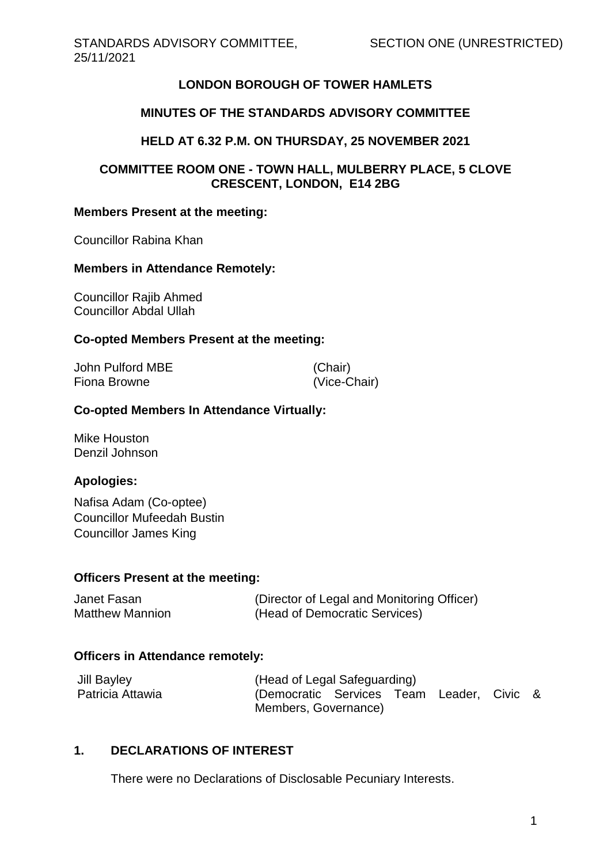# **LONDON BOROUGH OF TOWER HAMLETS**

### **MINUTES OF THE STANDARDS ADVISORY COMMITTEE**

### **HELD AT 6.32 P.M. ON THURSDAY, 25 NOVEMBER 2021**

### **COMMITTEE ROOM ONE - TOWN HALL, MULBERRY PLACE, 5 CLOVE CRESCENT, LONDON, E14 2BG**

#### **Members Present at the meeting:**

Councillor Rabina Khan

#### **Members in Attendance Remotely:**

Councillor Rajib Ahmed Councillor Abdal Ullah

#### **Co-opted Members Present at the meeting:**

| John Pulford MBE | (Chair)      |
|------------------|--------------|
| Fiona Browne     | (Vice-Chair) |

#### **Co-opted Members In Attendance Virtually:**

Mike Houston Denzil Johnson

#### **Apologies:**

Nafisa Adam (Co-optee) Councillor Mufeedah Bustin Councillor James King

#### **Officers Present at the meeting:**

Janet Fasan (Director of Legal and Monitoring Officer) Matthew Mannion (Head of Democratic Services)

#### **Officers in Attendance remotely:**

| <b>Jill Bayley</b> | (Head of Legal Safeguarding)              |  |  |  |  |  |
|--------------------|-------------------------------------------|--|--|--|--|--|
| Patricia Attawia   | (Democratic Services Team Leader, Civic & |  |  |  |  |  |
|                    | Members, Governance)                      |  |  |  |  |  |

# **1. DECLARATIONS OF INTEREST**

There were no Declarations of Disclosable Pecuniary Interests.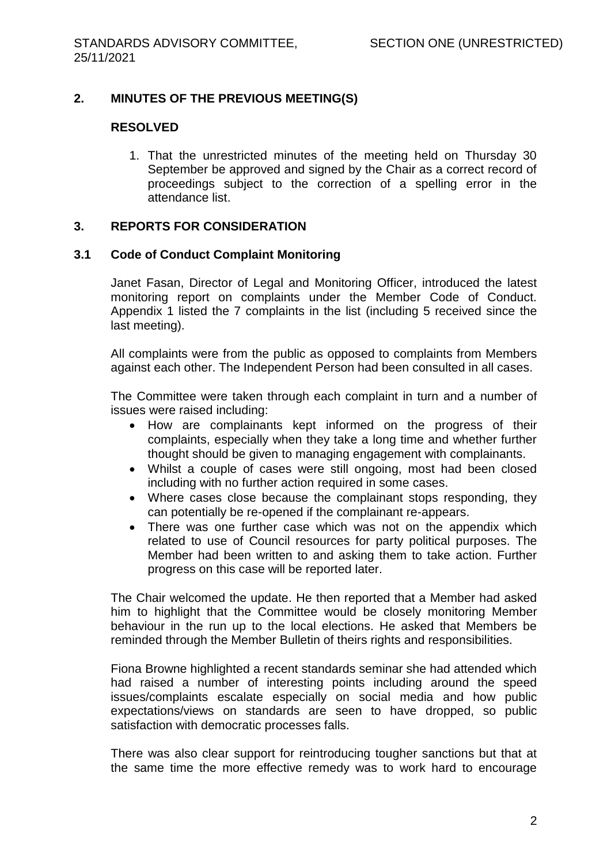# **2. MINUTES OF THE PREVIOUS MEETING(S)**

#### **RESOLVED**

1. That the unrestricted minutes of the meeting held on Thursday 30 September be approved and signed by the Chair as a correct record of proceedings subject to the correction of a spelling error in the attendance list.

### **3. REPORTS FOR CONSIDERATION**

### **3.1 Code of Conduct Complaint Monitoring**

Janet Fasan, Director of Legal and Monitoring Officer, introduced the latest monitoring report on complaints under the Member Code of Conduct. Appendix 1 listed the 7 complaints in the list (including 5 received since the last meeting).

All complaints were from the public as opposed to complaints from Members against each other. The Independent Person had been consulted in all cases.

The Committee were taken through each complaint in turn and a number of issues were raised including:

- How are complainants kept informed on the progress of their complaints, especially when they take a long time and whether further thought should be given to managing engagement with complainants.
- Whilst a couple of cases were still ongoing, most had been closed including with no further action required in some cases.
- Where cases close because the complainant stops responding, they can potentially be re-opened if the complainant re-appears.
- There was one further case which was not on the appendix which related to use of Council resources for party political purposes. The Member had been written to and asking them to take action. Further progress on this case will be reported later.

The Chair welcomed the update. He then reported that a Member had asked him to highlight that the Committee would be closely monitoring Member behaviour in the run up to the local elections. He asked that Members be reminded through the Member Bulletin of theirs rights and responsibilities.

Fiona Browne highlighted a recent standards seminar she had attended which had raised a number of interesting points including around the speed issues/complaints escalate especially on social media and how public expectations/views on standards are seen to have dropped, so public satisfaction with democratic processes falls.

There was also clear support for reintroducing tougher sanctions but that at the same time the more effective remedy was to work hard to encourage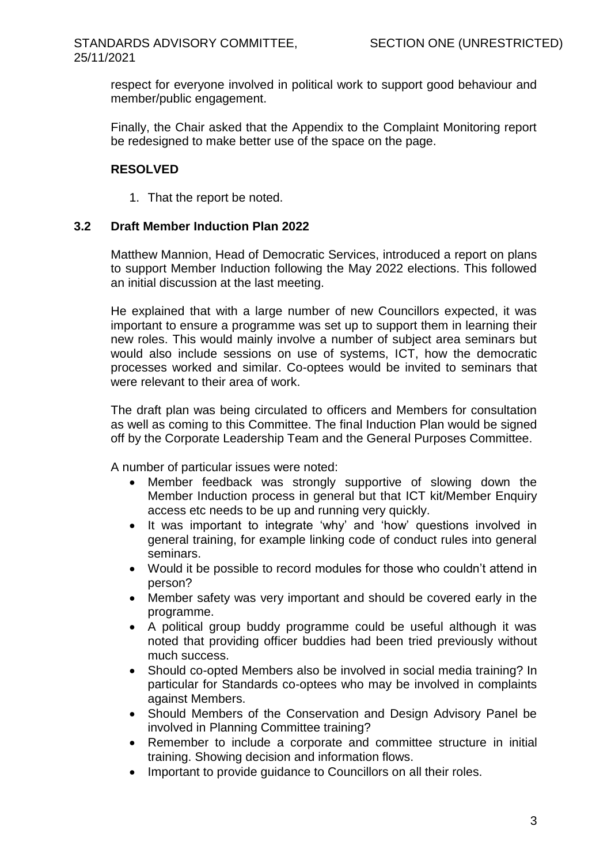# STANDARDS ADVISORY COMMITTEE, 25/11/2021

respect for everyone involved in political work to support good behaviour and member/public engagement.

Finally, the Chair asked that the Appendix to the Complaint Monitoring report be redesigned to make better use of the space on the page.

# **RESOLVED**

1. That the report be noted.

# **3.2 Draft Member Induction Plan 2022**

Matthew Mannion, Head of Democratic Services, introduced a report on plans to support Member Induction following the May 2022 elections. This followed an initial discussion at the last meeting.

He explained that with a large number of new Councillors expected, it was important to ensure a programme was set up to support them in learning their new roles. This would mainly involve a number of subject area seminars but would also include sessions on use of systems, ICT, how the democratic processes worked and similar. Co-optees would be invited to seminars that were relevant to their area of work.

The draft plan was being circulated to officers and Members for consultation as well as coming to this Committee. The final Induction Plan would be signed off by the Corporate Leadership Team and the General Purposes Committee.

A number of particular issues were noted:

- Member feedback was strongly supportive of slowing down the Member Induction process in general but that ICT kit/Member Enquiry access etc needs to be up and running very quickly.
- It was important to integrate 'why' and 'how' questions involved in general training, for example linking code of conduct rules into general seminars.
- Would it be possible to record modules for those who couldn't attend in person?
- Member safety was very important and should be covered early in the programme.
- A political group buddy programme could be useful although it was noted that providing officer buddies had been tried previously without much success.
- Should co-opted Members also be involved in social media training? In particular for Standards co-optees who may be involved in complaints against Members.
- Should Members of the Conservation and Design Advisory Panel be involved in Planning Committee training?
- Remember to include a corporate and committee structure in initial training. Showing decision and information flows.
- Important to provide quidance to Councillors on all their roles.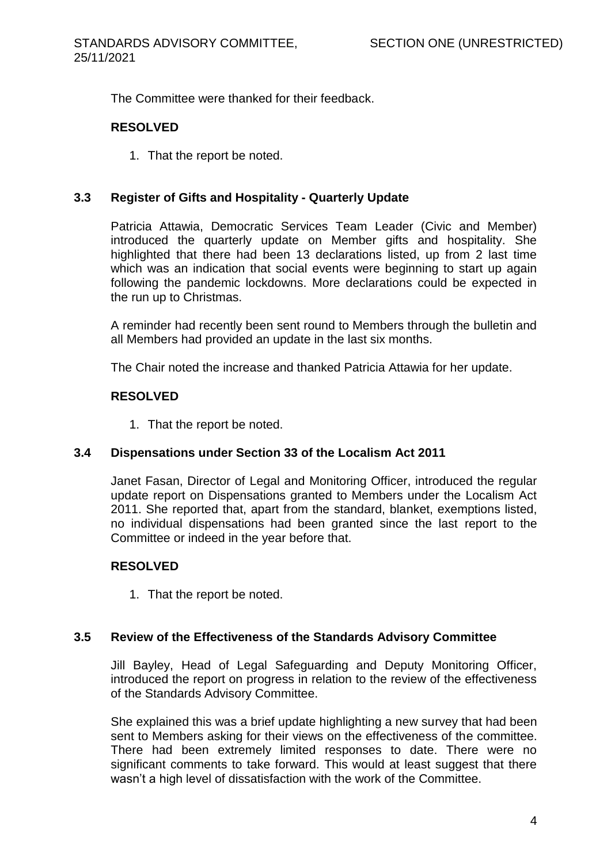The Committee were thanked for their feedback.

# **RESOLVED**

1. That the report be noted.

# **3.3 Register of Gifts and Hospitality - Quarterly Update**

Patricia Attawia, Democratic Services Team Leader (Civic and Member) introduced the quarterly update on Member gifts and hospitality. She highlighted that there had been 13 declarations listed, up from 2 last time which was an indication that social events were beginning to start up again following the pandemic lockdowns. More declarations could be expected in the run up to Christmas.

A reminder had recently been sent round to Members through the bulletin and all Members had provided an update in the last six months.

The Chair noted the increase and thanked Patricia Attawia for her update.

# **RESOLVED**

1. That the report be noted.

# **3.4 Dispensations under Section 33 of the Localism Act 2011**

Janet Fasan, Director of Legal and Monitoring Officer, introduced the regular update report on Dispensations granted to Members under the Localism Act 2011. She reported that, apart from the standard, blanket, exemptions listed, no individual dispensations had been granted since the last report to the Committee or indeed in the year before that.

# **RESOLVED**

1. That the report be noted.

# **3.5 Review of the Effectiveness of the Standards Advisory Committee**

Jill Bayley, Head of Legal Safeguarding and Deputy Monitoring Officer, introduced the report on progress in relation to the review of the effectiveness of the Standards Advisory Committee.

She explained this was a brief update highlighting a new survey that had been sent to Members asking for their views on the effectiveness of the committee. There had been extremely limited responses to date. There were no significant comments to take forward. This would at least suggest that there wasn't a high level of dissatisfaction with the work of the Committee.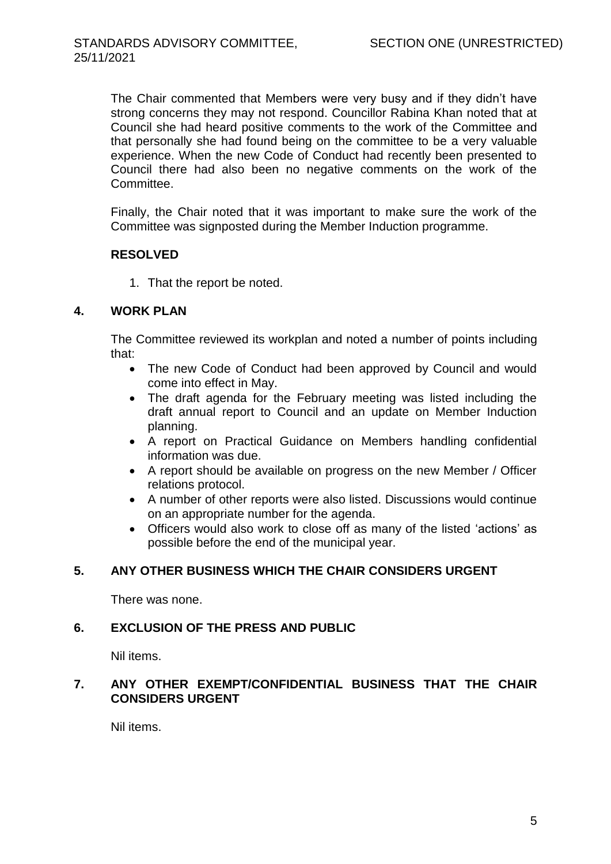The Chair commented that Members were very busy and if they didn't have strong concerns they may not respond. Councillor Rabina Khan noted that at Council she had heard positive comments to the work of the Committee and that personally she had found being on the committee to be a very valuable experience. When the new Code of Conduct had recently been presented to Council there had also been no negative comments on the work of the Committee.

Finally, the Chair noted that it was important to make sure the work of the Committee was signposted during the Member Induction programme.

# **RESOLVED**

1. That the report be noted.

# **4. WORK PLAN**

The Committee reviewed its workplan and noted a number of points including that:

- The new Code of Conduct had been approved by Council and would come into effect in May.
- The draft agenda for the February meeting was listed including the draft annual report to Council and an update on Member Induction planning.
- A report on Practical Guidance on Members handling confidential information was due.
- A report should be available on progress on the new Member / Officer relations protocol.
- A number of other reports were also listed. Discussions would continue on an appropriate number for the agenda.
- Officers would also work to close off as many of the listed 'actions' as possible before the end of the municipal year.

# **5. ANY OTHER BUSINESS WHICH THE CHAIR CONSIDERS URGENT**

There was none.

# **6. EXCLUSION OF THE PRESS AND PUBLIC**

Nil items.

# **7. ANY OTHER EXEMPT/CONFIDENTIAL BUSINESS THAT THE CHAIR CONSIDERS URGENT**

Nil items.